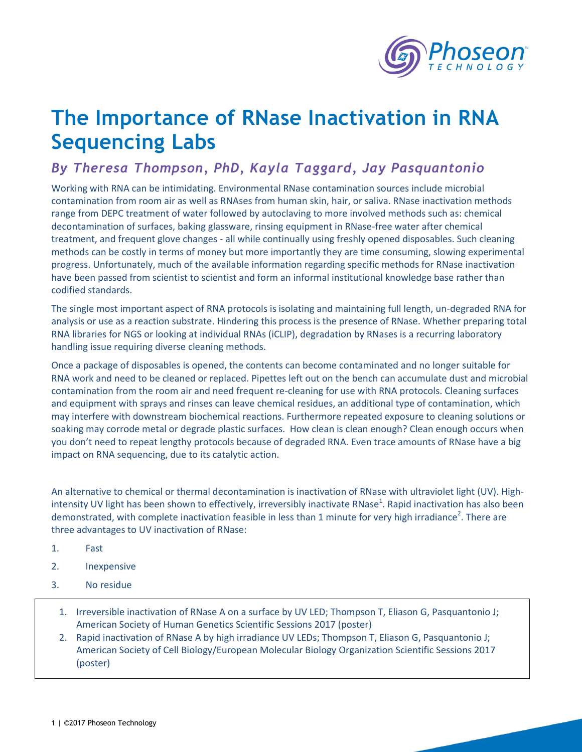

## **The Importance of RNase Inactivation in RNA Sequencing Labs**

## *By Theresa Thompson, PhD, Kayla Taggard, Jay Pasquantonio*

Working with RNA can be intimidating. Environmental RNase contamination sources include microbial contamination from room air as well as RNAses from human skin, hair, or saliva. RNase inactivation methods range from DEPC treatment of water followed by autoclaving to more involved methods such as: chemical decontamination of surfaces, baking glassware, rinsing equipment in RNase-free water after chemical treatment, and frequent glove changes - all while continually using freshly opened disposables. Such cleaning methods can be costly in terms of money but more importantly they are time consuming, slowing experimental progress. Unfortunately, much of the available information regarding specific methods for RNase inactivation have been passed from scientist to scientist and form an informal institutional knowledge base rather than codified standards.

The single most important aspect of RNA protocols is isolating and maintaining full length, un-degraded RNA for analysis or use as a reaction substrate. Hindering this process is the presence of RNase. Whether preparing total RNA libraries for NGS or looking at individual RNAs (iCLIP), degradation by RNases is a recurring laboratory handling issue requiring diverse cleaning methods.

Once a package of disposables is opened, the contents can become contaminated and no longer suitable for RNA work and need to be cleaned or replaced. Pipettes left out on the bench can accumulate dust and microbial contamination from the room air and need frequent re-cleaning for use with RNA protocols. Cleaning surfaces and equipment with sprays and rinses can leave chemical residues, an additional type of contamination, which may interfere with downstream biochemical reactions. Furthermore repeated exposure to cleaning solutions or soaking may corrode metal or degrade plastic surfaces. How clean is clean enough? Clean enough occurs when you don't need to repeat lengthy protocols because of degraded RNA. Even trace amounts of RNase have a big impact on RNA sequencing, due to its catalytic action.

An alternative to chemical or thermal decontamination is inactivation of RNase with ultraviolet light (UV). Highintensity UV light has been shown to effectively, irreversibly inactivate RNase<sup>1</sup>. Rapid inactivation has also been demonstrated, with complete inactivation feasible in less than 1 minute for very high irradiance<sup>2</sup>. There are three advantages to UV inactivation of RNase:

- 1. Fast
- 2. Inexpensive
- 3. No residue
	- 1. Irreversible inactivation of RNase A on a surface by UV LED; Thompson T, Eliason G, Pasquantonio J; American Society of Human Genetics Scientific Sessions 2017 (poster)
	- 2. Rapid inactivation of RNase A by high irradiance UV LEDs; Thompson T, Eliason G, Pasquantonio J; American Society of Cell Biology/European Molecular Biology Organization Scientific Sessions 2017 (poster)